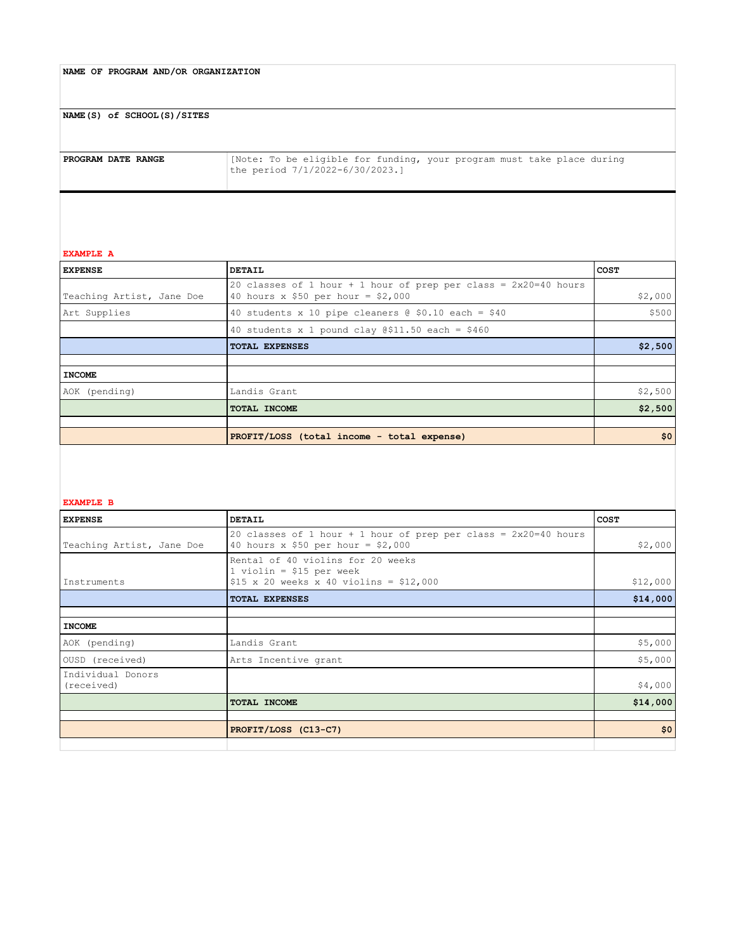## **NAME OF PROGRAM AND/OR ORGANIZATION**

**NAME(S) of SCHOOL(S)/SITES**

| PROGRAM DATE RANGE | [Note: To be eligible for funding, your program must take place during |
|--------------------|------------------------------------------------------------------------|
|                    | the period $7/1/2022 - 6/30/2023.1$                                    |
|                    |                                                                        |

## **EXAMPLE A**

| <b>EXPENSE</b>            | <b>DETAIL</b>                                                                                           | <b>COST</b> |
|---------------------------|---------------------------------------------------------------------------------------------------------|-------------|
| Teaching Artist, Jane Doe | 20 classes of 1 hour + 1 hour of prep per class = $2x20=40$ hours<br>40 hours x \$50 per hour = \$2,000 | \$2,000     |
| Art Supplies              | 40 students x 10 pipe cleaners $\theta$ \$0.10 each = \$40                                              | \$500       |
|                           | 40 students x 1 pound clay $\ell$ \$11.50 each = \$460                                                  |             |
|                           | <b>TOTAL EXPENSES</b>                                                                                   | \$2,500     |
|                           |                                                                                                         |             |
| <b>INCOME</b>             |                                                                                                         |             |
| AOK (pending)             | Landis Grant                                                                                            | \$2,500     |
|                           | <b>TOTAL INCOME</b>                                                                                     | \$2,500     |
|                           |                                                                                                         |             |
|                           | PROFIT/LOSS (total income - total expense)                                                              | \$0         |

## **EXAMPLE B**

| <b>EXPENSE</b>                  | <b>DETAIL</b>                                                                                                    | <b>COST</b> |
|---------------------------------|------------------------------------------------------------------------------------------------------------------|-------------|
| Teaching Artist, Jane Doe       | 20 classes of 1 hour + 1 hour of prep per class = $2x20=40$ hours<br>40 hours x \$50 per hour = \$2,000          | \$2,000     |
| Instruments                     | Rental of 40 violins for 20 weeks<br>1 violin = $$15$ per week<br>$$15 \times 20$ weeks x 40 violins = $$12,000$ | \$12,000    |
|                                 | <b>TOTAL EXPENSES</b>                                                                                            | \$14,000    |
|                                 |                                                                                                                  |             |
| <b>INCOME</b>                   |                                                                                                                  |             |
| AOK (pending)                   | Landis Grant                                                                                                     | \$5,000     |
| OUSD (received)                 | Arts Incentive grant                                                                                             | \$5,000     |
| Individual Donors<br>(received) |                                                                                                                  | \$4,000     |
|                                 | TOTAL INCOME                                                                                                     | \$14,000    |
|                                 |                                                                                                                  |             |
|                                 | PROFIT/LOSS (C13-C7)                                                                                             | \$0         |
|                                 |                                                                                                                  |             |